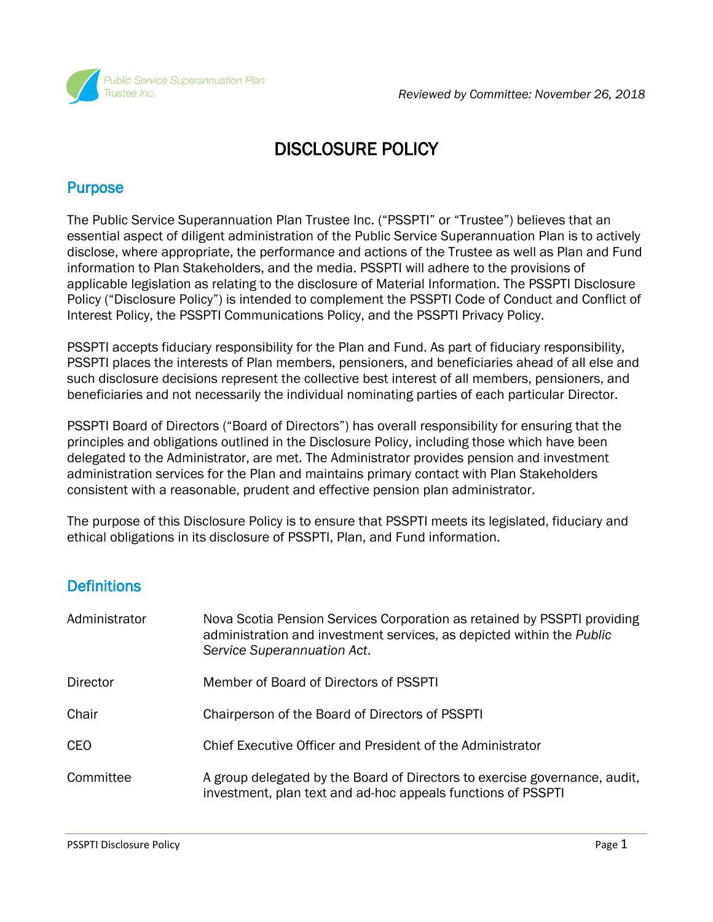

# DISCLOSURE POLICY

#### **Purpose**

The Public Service Superannuation Plan Trustee Inc. ("PSSPTI" or "Trustee") believes that an essential aspect of diligent administration of the Public Service Superannuation Plan is to actively disclose, where appropriate, the performance and actions of the Trustee as well as Plan and Fund information to Plan Stakeholders, and the media. PSSPTI will adhere to the provisions of applicable legislation as relating to the disclosure of Material Information. The PSSPTI Disclosure Policy ("Disclosure Policy") is intended to complement the PSSPTI Code of Conduct and Conflict of Interest Policy, the PSSPTI Communications Policy, and the PSSPTI Privacy Policy.

PSSPTI accepts fiduciary responsibility for the Plan and Fund. As part of fiduciary responsibility, PSSPTI places the interests of Plan members, pensioners, and beneficiaries ahead of all else and such disclosure decisions represent the collective best interest of all members, pensioners, and beneficiaries and not necessarily the individual nominating parties of each particular Director.

PSSPTI Board of Directors ("Board of Directors") has overall responsibility for ensuring that the principles and obligations outlined in the Disclosure Policy, including those which have been delegated to the Administrator, are met. The Administrator provides pension and investment administration services for the Plan and maintains primary contact with Plan Stakeholders consistent with a reasonable, prudent and effective pension plan administrator.

The purpose of this Disclosure Policy is to ensure that PSSPTI meets its legislated, fiduciary and ethical obligations in its disclosure of PSSPTI, Plan, and Fund information.

# **Definitions**

| Administrator   | Nova Scotia Pension Services Corporation as retained by PSSPTI providing<br>administration and investment services, as depicted within the Public<br>Service Superannuation Act. |
|-----------------|----------------------------------------------------------------------------------------------------------------------------------------------------------------------------------|
| <b>Director</b> | Member of Board of Directors of PSSPTI                                                                                                                                           |
| Chair           | Chairperson of the Board of Directors of PSSPTI                                                                                                                                  |
| <b>CEO</b>      | Chief Executive Officer and President of the Administrator                                                                                                                       |
| Committee       | A group delegated by the Board of Directors to exercise governance, audit,<br>investment, plan text and ad-hoc appeals functions of PSSPTI                                       |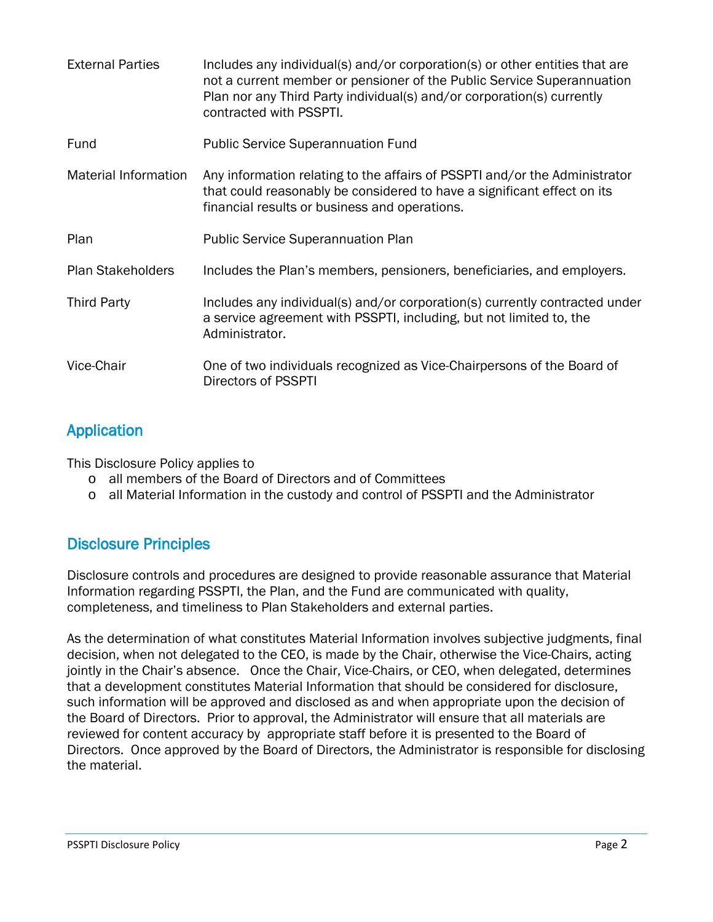| <b>External Parties</b>     | Includes any individual(s) and/or corporation(s) or other entities that are<br>not a current member or pensioner of the Public Service Superannuation<br>Plan nor any Third Party individual(s) and/or corporation(s) currently<br>contracted with PSSPTI. |
|-----------------------------|------------------------------------------------------------------------------------------------------------------------------------------------------------------------------------------------------------------------------------------------------------|
| Fund                        | <b>Public Service Superannuation Fund</b>                                                                                                                                                                                                                  |
| <b>Material Information</b> | Any information relating to the affairs of PSSPTI and/or the Administrator<br>that could reasonably be considered to have a significant effect on its<br>financial results or business and operations.                                                     |
| Plan                        | <b>Public Service Superannuation Plan</b>                                                                                                                                                                                                                  |
| <b>Plan Stakeholders</b>    | Includes the Plan's members, pensioners, beneficiaries, and employers.                                                                                                                                                                                     |
| <b>Third Party</b>          | Includes any individual(s) and/or corporation(s) currently contracted under<br>a service agreement with PSSPTI, including, but not limited to, the<br>Administrator.                                                                                       |
| Vice-Chair                  | One of two individuals recognized as Vice-Chairpersons of the Board of<br>Directors of PSSPTI                                                                                                                                                              |

# Application

This Disclosure Policy applies to

- o all members of the Board of Directors and of Committees
- o all Material Information in the custody and control of PSSPTI and the Administrator

# Disclosure Principles

Disclosure controls and procedures are designed to provide reasonable assurance that Material Information regarding PSSPTI, the Plan, and the Fund are communicated with quality, completeness, and timeliness to Plan Stakeholders and external parties.

As the determination of what constitutes Material Information involves subjective judgments, final decision, when not delegated to the CEO, is made by the Chair, otherwise the Vice-Chairs, acting jointly in the Chair's absence. Once the Chair, Vice-Chairs, or CEO, when delegated, determines that a development constitutes Material Information that should be considered for disclosure, such information will be approved and disclosed as and when appropriate upon the decision of the Board of Directors. Prior to approval, the Administrator will ensure that all materials are reviewed for content accuracy by appropriate staff before it is presented to the Board of Directors. Once approved by the Board of Directors, the Administrator is responsible for disclosing the material.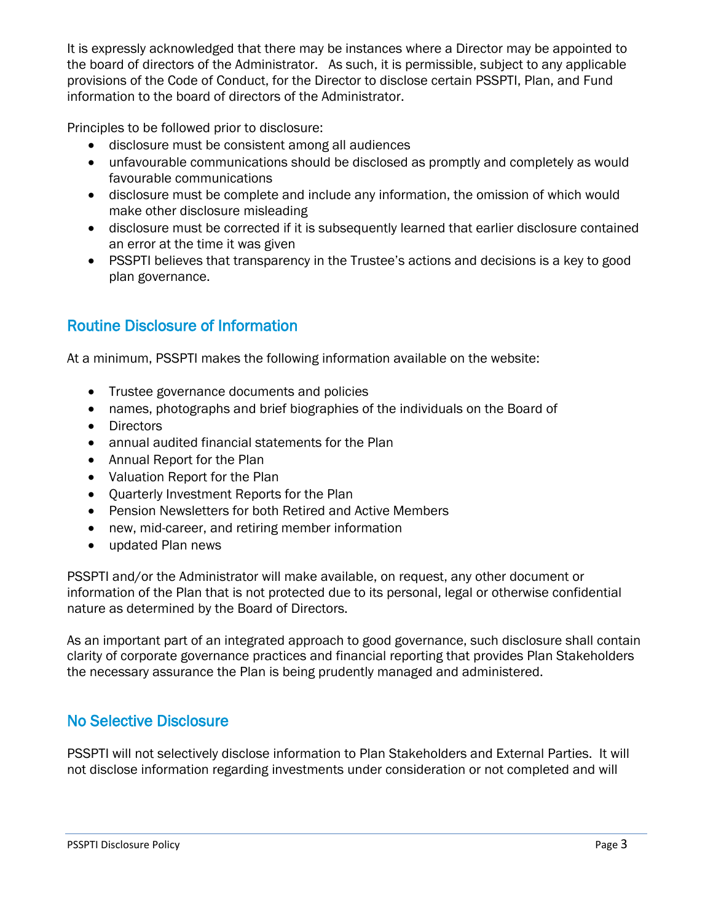It is expressly acknowledged that there may be instances where a Director may be appointed to the board of directors of the Administrator. As such, it is permissible, subject to any applicable provisions of the Code of Conduct, for the Director to disclose certain PSSPTI, Plan, and Fund information to the board of directors of the Administrator.

Principles to be followed prior to disclosure:

- disclosure must be consistent among all audiences
- unfavourable communications should be disclosed as promptly and completely as would favourable communications
- disclosure must be complete and include any information, the omission of which would make other disclosure misleading
- disclosure must be corrected if it is subsequently learned that earlier disclosure contained an error at the time it was given
- PSSPTI believes that transparency in the Trustee's actions and decisions is a key to good plan governance.

# Routine Disclosure of Information

At a minimum, PSSPTI makes the following information available on the website:

- Trustee governance documents and policies
- names, photographs and brief biographies of the individuals on the Board of
- Directors
- annual audited financial statements for the Plan
- Annual Report for the Plan
- Valuation Report for the Plan
- Quarterly Investment Reports for the Plan
- Pension Newsletters for both Retired and Active Members
- new, mid-career, and retiring member information
- updated Plan news

PSSPTI and/or the Administrator will make available, on request, any other document or information of the Plan that is not protected due to its personal, legal or otherwise confidential nature as determined by the Board of Directors.

As an important part of an integrated approach to good governance, such disclosure shall contain clarity of corporate governance practices and financial reporting that provides Plan Stakeholders the necessary assurance the Plan is being prudently managed and administered.

# No Selective Disclosure

PSSPTI will not selectively disclose information to Plan Stakeholders and External Parties. It will not disclose information regarding investments under consideration or not completed and will